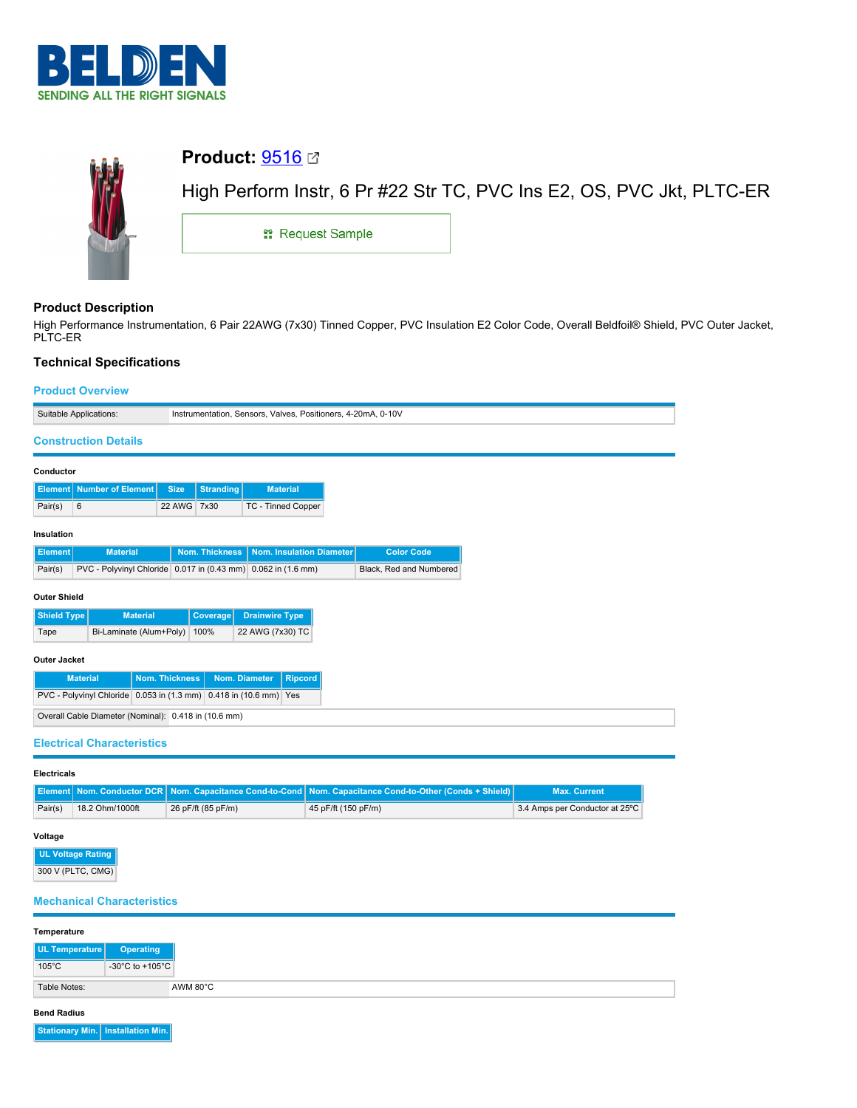



# **Product Description**

High Performance Instrumentation, 6 Pair 22AWG (7x30) Tinned Copper, PVC Insulation E2 Color Code, Overall Beldfoil® Shield, PVC Outer Jacket, PLTC-ER

# **Technical Specifications**

# **Product Overview**

|                                                                             | Suitable Applications:<br>Instrumentation, Sensors, Valves, Positioners, 4-20mA, 0-10V |                             |             |                  |                                                               |  |                         |
|-----------------------------------------------------------------------------|----------------------------------------------------------------------------------------|-----------------------------|-------------|------------------|---------------------------------------------------------------|--|-------------------------|
|                                                                             |                                                                                        |                             |             |                  |                                                               |  |                         |
| <b>Construction Details</b>                                                 |                                                                                        |                             |             |                  |                                                               |  |                         |
| Conductor                                                                   |                                                                                        |                             |             |                  |                                                               |  |                         |
|                                                                             |                                                                                        | Element   Number of Element | <b>Size</b> | <b>Stranding</b> | <b>Material</b>                                               |  |                         |
| Pair(s)                                                                     | 6                                                                                      |                             | 22 AWG 7x30 |                  | TC - Tinned Copper                                            |  |                         |
|                                                                             |                                                                                        |                             |             |                  |                                                               |  |                         |
| Insulation<br><b>Element</b>                                                |                                                                                        | <b>Material</b>             |             | Nom. Thickness   | Nom. Insulation Diameter                                      |  | <b>Color Code</b>       |
| Pair(s)                                                                     |                                                                                        |                             |             |                  | PVC - Polyvinyl Chloride 0.017 in (0.43 mm) 0.062 in (1.6 mm) |  | Black, Red and Numbered |
|                                                                             |                                                                                        |                             |             |                  |                                                               |  |                         |
| <b>Outer Shield</b>                                                         |                                                                                        |                             |             |                  |                                                               |  |                         |
| Shield Type<br><b>Material</b>                                              |                                                                                        |                             |             | Coverage         | <b>Drainwire Type</b>                                         |  |                         |
| Bi-Laminate (Alum+Poly)<br>Tape                                             |                                                                                        |                             |             | 100%             | 22 AWG (7x30) TC                                              |  |                         |
| Outer Jacket                                                                |                                                                                        |                             |             |                  |                                                               |  |                         |
| <b>Nom. Thickness</b><br><b>Material</b><br>Nom. Diameter<br><b>Ripcord</b> |                                                                                        |                             |             |                  |                                                               |  |                         |
| PVC - Polyvinyl Chloride 0.053 in (1.3 mm) 0.418 in (10.6 mm) Yes           |                                                                                        |                             |             |                  |                                                               |  |                         |
| Overall Cable Diameter (Nominal): 0.418 in (10.6 mm)                        |                                                                                        |                             |             |                  |                                                               |  |                         |
| <b>Electrical Characteristics</b>                                           |                                                                                        |                             |             |                  |                                                               |  |                         |
|                                                                             |                                                                                        |                             |             |                  |                                                               |  |                         |

## **Electricals**

|         |                 |                    | <b>Element Nom. Conductor DCR Nom. Capacitance Cond-to-Cond Nom. Capacitance Cond-to-Other (Conds + Shield)</b> | <b>Max. Current</b>            |
|---------|-----------------|--------------------|-----------------------------------------------------------------------------------------------------------------|--------------------------------|
| Pair(s) | 18.2 Ohm/1000ft | 26 pF/ft (85 pF/m) | 45 pF/ft (150 pF/m)                                                                                             | 3.4 Amps per Conductor at 25°C |

# **Voltage**

**UL Voltage Rating** 300 V (PLTC, CMG)

# **Mechanical Characteristics**

| Temperature     |                 |          |
|-----------------|-----------------|----------|
| UL Temperature  | Operating       |          |
| $105^{\circ}$ C | -30°C to +105°C |          |
| Table Notes:    |                 | AWM 80°C |

## **Bend Radius**

**Stationary Min. Installation Min.**